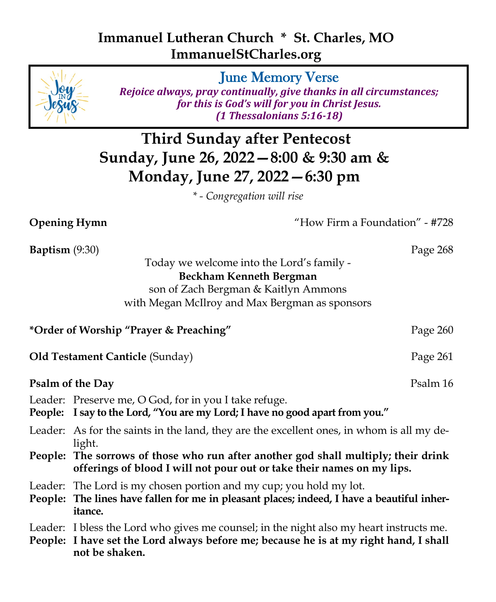## **Immanuel Lutheran Church \* St. Charles, MO ImmanuelStCharles.org**



*Rejoice always, pray continually, give thanks in all circumstances; for this is God's will for you in Christ Jesus. (1 Thessalonians 5:16-18)*

**Third Sunday after Pentecost Sunday, June 26, 2022—8:00 & 9:30 am & Monday, June 27, 2022—6:30 pm**

*\* - Congregation will rise*

**Opening Hymn**  $\text{"How Firm a Foundation" - #728}$ 

**Baptism** (9:30) Page 268 Today we welcome into the Lord's family - **Beckham Kenneth Bergman** son of Zach Bergman & Kaitlyn Ammons with Megan McIlroy and Max Bergman as sponsors \*Order of Worship "Prayer & Preaching" Page 260 **Old Testament Canticle (Sunday) Page 261 Psalm of the Day Psalm 16** Leader: Preserve me, O God, for in you I take refuge. **People: I say to the Lord, "You are my Lord; I have no good apart from you."** Leader: As for the saints in the land, they are the excellent ones, in whom is all my delight. **People: The sorrows of those who run after another god shall multiply; their drink offerings of blood I will not pour out or take their names on my lips.** Leader: The Lord is my chosen portion and my cup; you hold my lot. **People: The lines have fallen for me in pleasant places; indeed, I have a beautiful inheritance.** Leader: I bless the Lord who gives me counsel; in the night also my heart instructs me. **People: I have set the Lord always before me; because he is at my right hand, I shall not be shaken.**

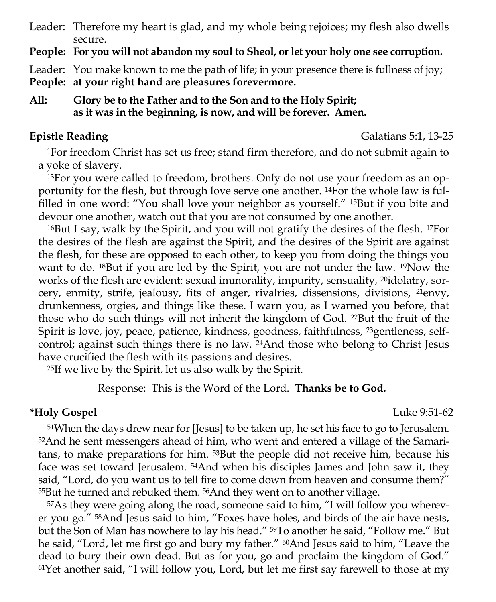Leader: Therefore my heart is glad, and my whole being rejoices; my flesh also dwells secure.

**People: For you will not abandon my soul to Sheol, or let your holy one see corruption.**

Leader: You make known to me the path of life; in your presence there is fullness of joy;

**People: at your right hand are pleasures forevermore.**

**All: Glory be to the Father and to the Son and to the Holy Spirit; as it was in the beginning, is now, and will be forever. Amen.**

**Epistle Reading** Galatians 5:1, 13-25

<sup>1</sup>For freedom Christ has set us free; stand firm therefore, and do not submit again to a yoke of slavery.

13For you were called to freedom, brothers. Only do not use your freedom as an opportunity for the flesh, but through love serve one another. 14For the whole law is fulfilled in one word: "You shall love your neighbor as yourself." 15But if you bite and devour one another, watch out that you are not consumed by one another.

<sup>16</sup>But I say, walk by the Spirit, and you will not gratify the desires of the flesh. 17For the desires of the flesh are against the Spirit, and the desires of the Spirit are against the flesh, for these are opposed to each other, to keep you from doing the things you want to do. 18But if you are led by the Spirit, you are not under the law. 19Now the works of the flesh are evident: sexual immorality, impurity, sensuality, <sup>20</sup>idolatry, sorcery, enmity, strife, jealousy, fits of anger, rivalries, dissensions, divisions, 21envy, drunkenness, orgies, and things like these. I warn you, as I warned you before, that those who do such things will not inherit the kingdom of God. 22But the fruit of the Spirit is love, joy, peace, patience, kindness, goodness, faithfulness, <sup>23</sup>gentleness, selfcontrol; against such things there is no law. 24And those who belong to Christ Jesus have crucified the flesh with its passions and desires.

<sup>25</sup>If we live by the Spirit, let us also walk by the Spirit.

Response: This is the Word of the Lord. **Thanks be to God.**

### **\*Holy Gospel** Luke 9:51-62

<sup>51</sup>When the days drew near for [Jesus] to be taken up, he set his face to go to Jerusalem. 52And he sent messengers ahead of him, who went and entered a village of the Samaritans, to make preparations for him. 53But the people did not receive him, because his face was set toward Jerusalem. 54And when his disciples James and John saw it, they said, "Lord, do you want us to tell fire to come down from heaven and consume them?" <sup>55</sup>But he turned and rebuked them. 56And they went on to another village.

57As they were going along the road, someone said to him, "I will follow you wherever you go." 58And Jesus said to him, "Foxes have holes, and birds of the air have nests, but the Son of Man has nowhere to lay his head." 59To another he said, "Follow me." But he said, "Lord, let me first go and bury my father." <sup>60</sup>And Jesus said to him, "Leave the dead to bury their own dead. But as for you, go and proclaim the kingdom of God." 61Yet another said, "I will follow you, Lord, but let me first say farewell to those at my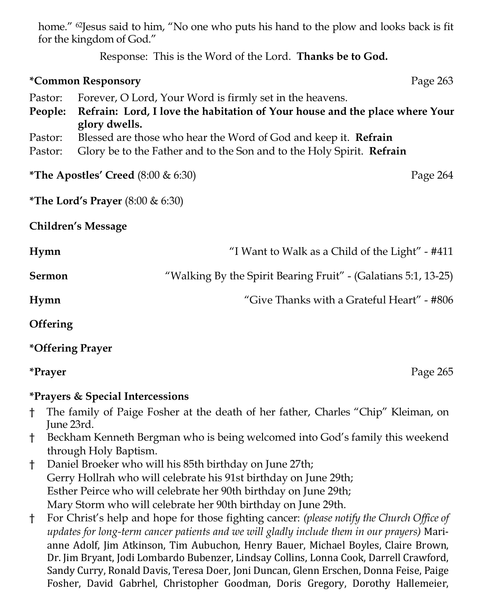home." <sup>62</sup>Jesus said to him, "No one who puts his hand to the plow and looks back is fit for the kingdom of God."

Response: This is the Word of the Lord. **Thanks be to God.**

# **\*Common Responsory Page 263** Pastor: Forever, O Lord, Your Word is firmly set in the heavens. **People: Refrain: Lord, I love the habitation of Your house and the place where Your glory dwells.** Pastor: Blessed are those who hear the Word of God and keep it. **Refrain** Pastor: Glory be to the Father and to the Son and to the Holy Spirit. **Refrain \*The Apostles' Creed** (8:00 & 6:30) Page 264 **\*The Lord's Prayer** (8:00 & 6:30) **Children's Message Hymn** "I Want to Walk as a Child of the Light" - #411 **Sermon** *"Walking By the Spirit Bearing Fruit" - (Galatians 5:1, 13-25)* **Hymn** "Give Thanks with a Grateful Heart" - #806

**Offering** 

### **\*Offering Prayer**

**\*Prayer** Page 265

### **\*Prayers & Special Intercessions**

- † The family of Paige Fosher at the death of her father, Charles "Chip" Kleiman, on June 23rd.
- † Beckham Kenneth Bergman who is being welcomed into God's family this weekend through Holy Baptism.
- † Daniel Broeker who will his 85th birthday on June 27th; Gerry Hollrah who will celebrate his 91st birthday on June 29th; Esther Peirce who will celebrate her 90th birthday on June 29th; Mary Storm who will celebrate her 90th birthday on June 29th.
- † For Christ's help and hope for those fighting cancer: *(please notify the Church Office of updates for long-term cancer patients and we will gladly include them in our prayers)* Marianne Adolf, Jim Atkinson, Tim Aubuchon, Henry Bauer, Michael Boyles, Claire Brown, Dr. Jim Bryant, Jodi Lombardo Bubenzer, Lindsay Collins, Lonna Cook, Darrell Crawford, Sandy Curry, Ronald Davis, Teresa Doer, Joni Duncan, Glenn Erschen, Donna Feise, Paige Fosher, David Gabrhel, Christopher Goodman, Doris Gregory, Dorothy Hallemeier,